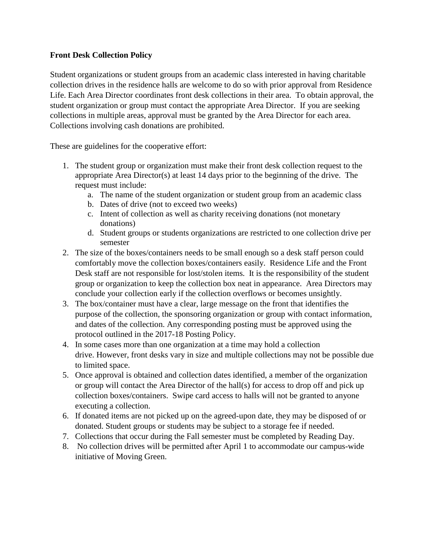## **Front Desk Collection Policy**

Student organizations or student groups from an academic class interested in having charitable collection drives in the residence halls are welcome to do so with prior approval from Residence Life. Each Area Director coordinates front desk collections in their area. To obtain approval, the student organization or group must contact the appropriate Area Director. If you are seeking collections in multiple areas, approval must be granted by the Area Director for each area. Collections involving cash donations are prohibited.

These are guidelines for the cooperative effort:

- 1. The student group or organization must make their front desk collection request to the appropriate Area Director(s) at least 14 days prior to the beginning of the drive. The request must include:
	- a. The name of the student organization or student group from an academic class
	- b. Dates of drive (not to exceed two weeks)
	- c. Intent of collection as well as charity receiving donations (not monetary donations)
	- d. Student groups or students organizations are restricted to one collection drive per semester
- 2. The size of the boxes/containers needs to be small enough so a desk staff person could comfortably move the collection boxes/containers easily. Residence Life and the Front Desk staff are not responsible for lost/stolen items. It is the responsibility of the student group or organization to keep the collection box neat in appearance. Area Directors may conclude your collection early if the collection overflows or becomes unsightly.
- 3. The box/container must have a clear, large message on the front that identifies the purpose of the collection, the sponsoring organization or group with contact information, and dates of the collection. Any corresponding posting must be approved using the protocol outlined in the 2017-18 Posting Policy.
- 4. In some cases more than one organization at a time may hold a collection drive. However, front desks vary in size and multiple collections may not be possible due to limited space.
- 5. Once approval is obtained and collection dates identified, a member of the organization or group will contact the Area Director of the hall(s) for access to drop off and pick up collection boxes/containers. Swipe card access to halls will not be granted to anyone executing a collection.
- 6. If donated items are not picked up on the agreed-upon date, they may be disposed of or donated. Student groups or students may be subject to a storage fee if needed.
- 7. Collections that occur during the Fall semester must be completed by Reading Day.
- 8. No collection drives will be permitted after April 1 to accommodate our campus-wide initiative of Moving Green.